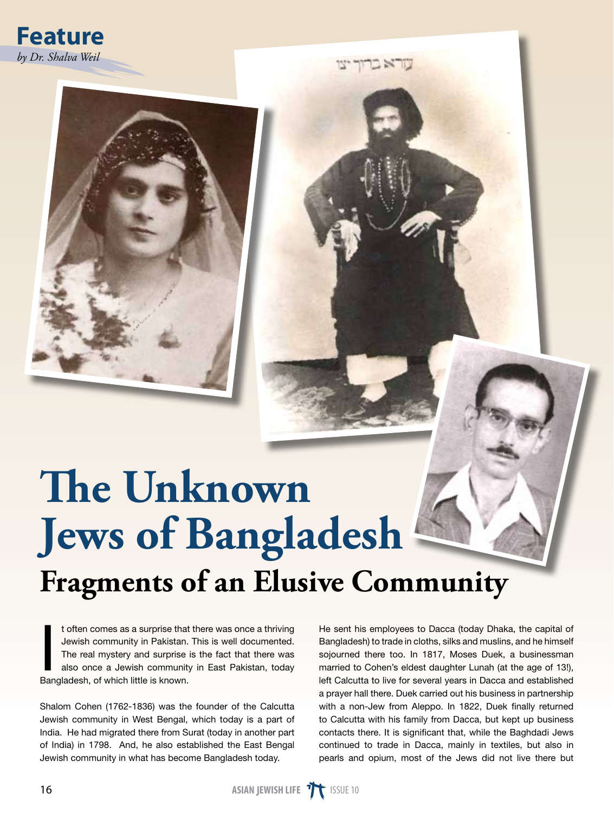

## **The Unknown Jews of Bangladesh Fragments of an Elusive Community**

I toften comes as a surprise that<br>Jewish community in Pakistan.<br>The real mystery and surprise i<br>also once a Jewish community<br>Bangladesh, of which little is known. t often comes as a surprise that there was once a thriving Jewish community in Pakistan. This is well documented. The real mystery and surprise is the fact that there was also once a Jewish community in East Pakistan, today

Shalom Cohen (1762-1836) was the founder of the Calcutta Jewish community in West Bengal, which today is a part of India. He had migrated there from Surat (today in another part of India) in 1798. And, he also established the East Bengal Jewish community in what has become Bangladesh today.

He sent his employees to Dacca (today Dhaka, the capital of Bangladesh) to trade in cloths, silks and muslins, and he himself sojourned there too. In 1817, Moses Duek, a businessman married to Cohen's eldest daughter Lunah (at the age of 13!), left Calcutta to live for several years in Dacca and established a prayer hall there. Duek carried out his business in partnership with a non-Jew from Aleppo. In 1822, Duek finally returned to Calcutta with his family from Dacca, but kept up business contacts there. It is significant that, while the Baghdadi Jews continued to trade in Dacca, mainly in textiles, but also in pearls and opium, most of the Jews did not live there but

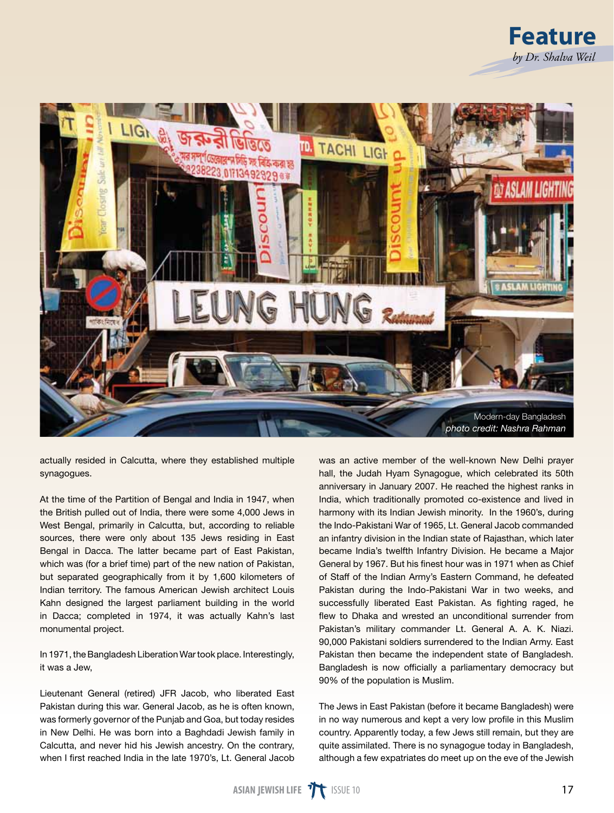

actually resided in Calcutta, where they established multiple synagogues.

At the time of the Partition of Bengal and India in 1947, when the British pulled out of India, there were some 4,000 Jews in West Bengal, primarily in Calcutta, but, according to reliable sources, there were only about 135 Jews residing in East Bengal in Dacca. The latter became part of East Pakistan, which was (for a brief time) part of the new nation of Pakistan, but separated geographically from it by 1,600 kilometers of Indian territory. The famous American Jewish architect Louis Kahn designed the largest parliament building in the world in Dacca; completed in 1974, it was actually Kahn's last monumental project.

In 1971, the Bangladesh Liberation War took place. Interestingly, it was a Jew,

Lieutenant General (retired) JFR Jacob, who liberated East Pakistan during this war. General Jacob, as he is often known, was formerly governor of the Punjab and Goa, but today resides in New Delhi. He was born into a Baghdadi Jewish family in Calcutta, and never hid his Jewish ancestry. On the contrary, when I first reached India in the late 1970's, Lt. General Jacob

was an active member of the well-known New Delhi prayer hall, the Judah Hyam Synagogue, which celebrated its 50th anniversary in January 2007. He reached the highest ranks in India, which traditionally promoted co-existence and lived in harmony with its Indian Jewish minority. In the 1960's, during the Indo-Pakistani War of 1965, Lt. General Jacob commanded an infantry division in the Indian state of Rajasthan, which later became India's twelfth Infantry Division. He became a Major General by 1967. But his finest hour was in 1971 when as Chief of Staff of the Indian Army's Eastern Command, he defeated Pakistan during the Indo-Pakistani War in two weeks, and successfully liberated East Pakistan. As fighting raged, he flew to Dhaka and wrested an unconditional surrender from Pakistan's military commander Lt. General A. A. K. Niazi. 90,000 Pakistani soldiers surrendered to the Indian Army. East Pakistan then became the independent state of Bangladesh. Bangladesh is now officially a parliamentary democracy but 90% of the population is Muslim.

The Jews in East Pakistan (before it became Bangladesh) were in no way numerous and kept a very low profile in this Muslim country. Apparently today, a few Jews still remain, but they are quite assimilated. There is no synagogue today in Bangladesh, although a few expatriates do meet up on the eve of the Jewish